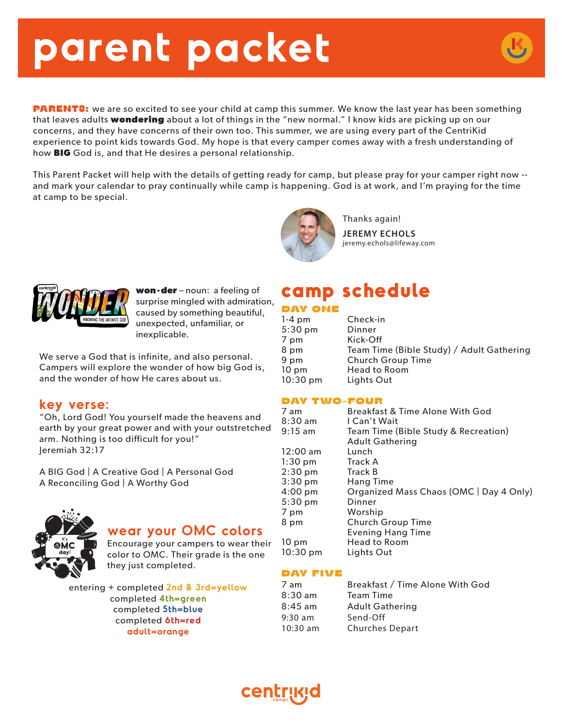# **parent packet**

**PARENTS:** we are so excited to see your child at camp this summer. We know the last year has been something that leaves adults **wondering** about a lot of things in the "new normal." I know kids are picking up on our concerns, and they have concerns of their own too. This summer, we are using every part of the CentriKid experience to point kids towards God. My hope is that every camper comes away with a fresh understanding of how **BIG** God is, and that He desires a personal relationship.

This Parent Packet will help with the details of getting ready for camp, but please pray for your camper right now - and mark your calendar to pray continually while camp is happening. God is at work, and I'm praying for the time at camp to be special.



Thanks again! **JEREMY ECHOLS** jeremy.echols@lifeway.com



**won·der** – noun: a feeling of surprise mingled with admiration, caused by something beautiful, unexpected, unfamiliar, or inexplicable.

We serve a God that is infinite, and also personal. Campers will explore the wonder of how big God is, and the wonder of how He cares about us.

### **key verse:**

"Oh, Lord God! You yourself made the heavens and earth by your great power and with your outstretched arm. Nothing is too difficult for you!" Jeremiah 32:17

A BIG God | A Creative God | A Personal God A Reconciling God | A Worthy God



### **wear your OMC colors**

Encourage your campers to wear their color to OMC. Their grade is the one they just completed.

entering + completed **2nd & 3rd=yellow** completed **4th=green** completed **5th=blue** completed **6th=red adult=orange**

# **camp schedule**

#### DAY ONE

| $1-4$ pm           | Check-in                                  |
|--------------------|-------------------------------------------|
| $5:30$ pm          | Dinner                                    |
| 7 pm               | Kick-Off                                  |
| 8 pm               | Team Time (Bible Study) / Adult Gathering |
| 9 pm               | <b>Church Group Time</b>                  |
| $10 \text{ pm}$    | Head to Room                              |
| $10:30 \text{ pm}$ | Lights Out                                |

#### DAY TWO-FOUR

| 7 am               | Breakfast & Time Alone With God         |
|--------------------|-----------------------------------------|
| $8:30 \text{ am}$  | I Can't Wait                            |
| $9:15$ am          | Team Time (Bible Study & Recreation)    |
|                    | <b>Adult Gathering</b>                  |
| $12:00$ am         | Lunch                                   |
| $1:30$ pm          | Track A                                 |
| $2:30$ pm          | <b>Track B</b>                          |
| $3:30$ pm          | Hang Time                               |
| $4:00$ pm          | Organized Mass Chaos (OMC   Day 4 Only) |
| 5:30 pm            | Dinner                                  |
| 7 pm               | Worship                                 |
| 8 pm               | <b>Church Group Time</b>                |
|                    | <b>Evening Hang Time</b>                |
| $10 \text{ pm}$    | <b>Head to Room</b>                     |
| $10:30 \text{ pm}$ | Lights Out                              |
|                    |                                         |

#### DAY FIVE

| Breakfast / Time Alone With God |
|---------------------------------|
| Team Time                       |
| <b>Adult Gathering</b>          |
| Send-Off                        |
| <b>Churches Depart</b>          |
|                                 |

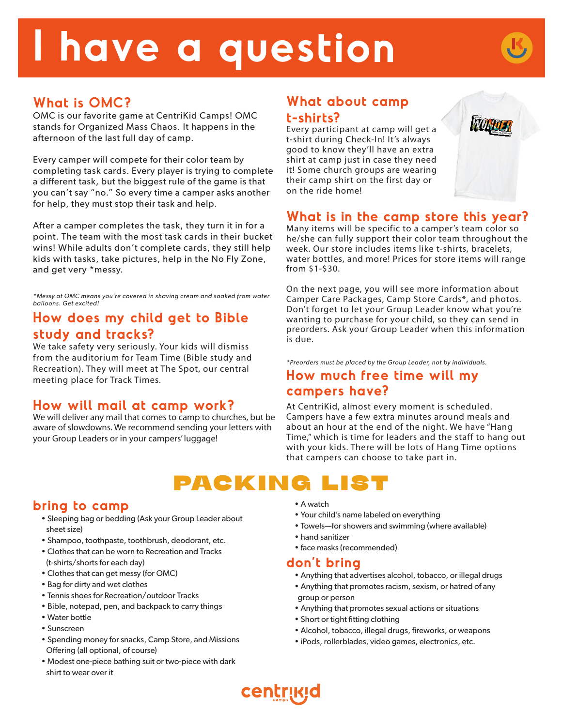# **I have a question**



# **What is OMC?**

OMC is our favorite game at CentriKid Camps! OMC stands for Organized Mass Chaos. It happens in the afternoon of the last full day of camp.

Every camper will compete for their color team by completing task cards. Every player is trying to complete a different task, but the biggest rule of the game is that you can't say "no." So every time a camper asks another for help, they must stop their task and help.

After a camper completes the task, they turn it in for a point. The team with the most task cards in their bucket wins! While adults don't complete cards, they still help kids with tasks, take pictures, help in the No Fly Zone, and get very \*messy.

*\*Messy at OMC means you're covered in shaving cream and soaked from water balloons. Get excited!*

## **How does my child get to Bible study and tracks?**

We take safety very seriously. Your kids will dismiss from the auditorium for Team Time (Bible study and Recreation). They will meet at The Spot, our central meeting place for Track Times.

## **How will mail at camp work?**

We will deliver any mail that comes to camp to churches, but be aware of slowdowns. We recommend sending your letters with your Group Leaders or in your campers' luggage!

## **What about camp t-shirts?**

Every participant at camp will get a t-shirt during Check-In! It's always good to know they'll have an extra shirt at camp just in case they need it! Some church groups are wearing their camp shirt on the first day or on the ride home!



### **What is in the camp store this year?**

Many items will be specific to a camper's team color so he/she can fully support their color team throughout the week. Our store includes items like t-shirts, bracelets, water bottles, and more! Prices for store items will range from \$1-\$30.

On the next page, you will see more information about Camper Care Packages, Camp Store Cards\*, and photos. Don't forget to let your Group Leader know what you're wanting to purchase for your child, so they can send in preorders. Ask your Group Leader when this information is due.

*\*Preorders must be placed by the Group Leader, not by individuals.* 

### **How much free time will my campers have?**

At CentriKid, almost every moment is scheduled. Campers have a few extra minutes around meals and about an hour at the end of the night. We have "Hang Time," which is time for leaders and the staff to hang out with your kids. There will be lots of Hang Time options that campers can choose to take part in.

# PACKING

## **bring to camp**

- Sleeping bag or bedding (Ask your Group Leader about sheet size)
- Shampoo, toothpaste, toothbrush, deodorant, etc.
- Clothes that can be worn to Recreation and Tracks (t-shirts/shorts for each day)
- Clothes that can get messy (for OMC)
- Bag for dirty and wet clothes
- Tennis shoes for Recreation/outdoor Tracks
- Bible, notepad, pen, and backpack to carry things
- Water bottle
- Sunscreen
- Spending money for snacks, Camp Store, and Missions Offering (all optional, of course)
- Modest one-piece bathing suit or two-piece with dark shirt to wear over it
- A watch
- Your child's name labeled on everything
- Towels—for showers and swimming (where available)
- hand sanitizer
- face masks (recommended)

## **don't bring**

- Anything that advertises alcohol, tobacco, or illegal drugs
- Anything that promotes racism, sexism, or hatred of any group or person
- Anything that promotes sexual actions or situations
- Short or tight fitting clothing
- Alcohol, tobacco, illegal drugs, fireworks, or weapons
- iPods, rollerblades, video games, electronics, etc.